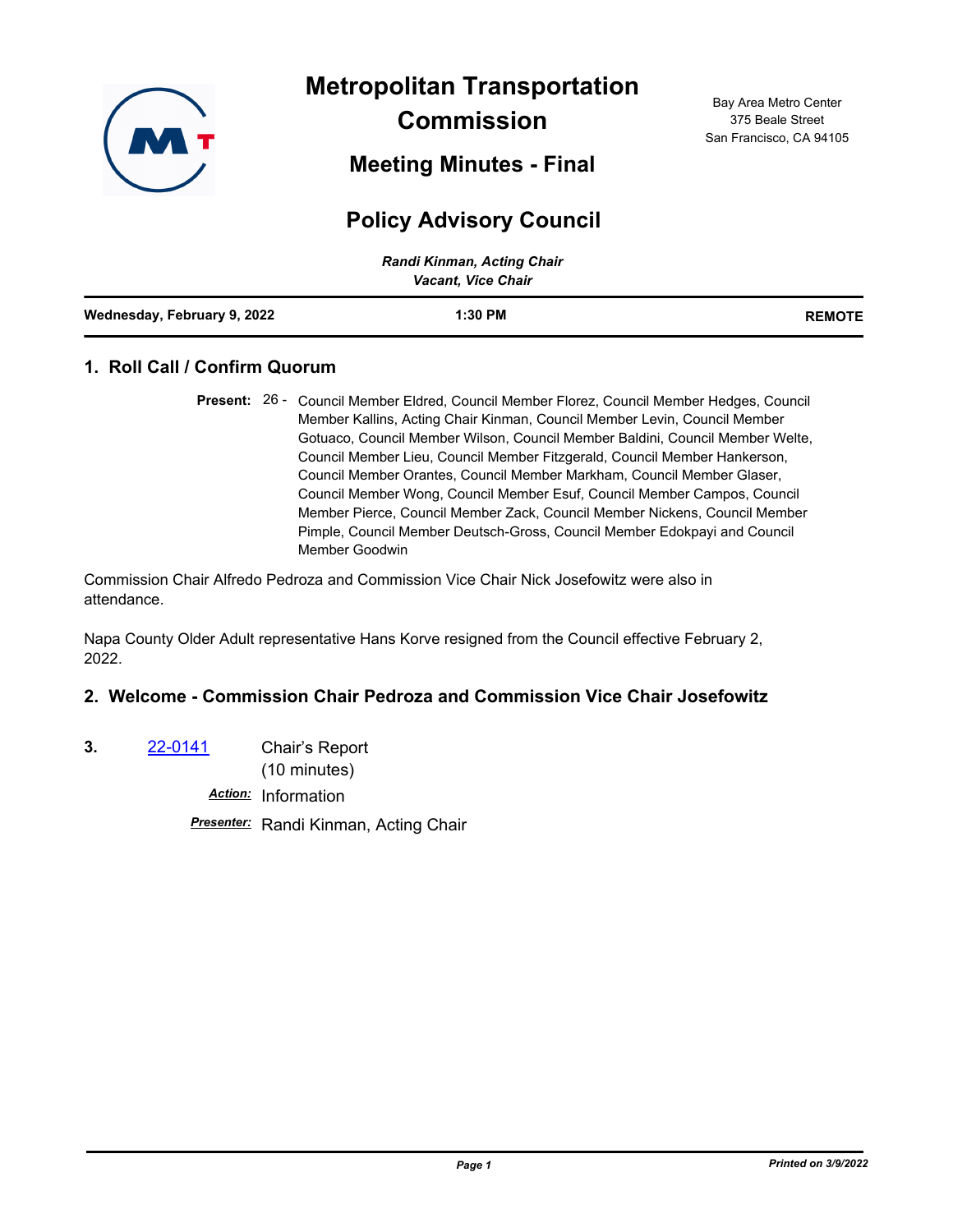

**Metropolitan Transportation Commission**

**Meeting Minutes - Final**

# **Policy Advisory Council**

| Randi Kinman, Acting Chair<br><b>Vacant, Vice Chair</b> |           |               |
|---------------------------------------------------------|-----------|---------------|
| Wednesday, February 9, 2022                             | $1:30$ PM | <b>REMOTE</b> |

# **1. Roll Call / Confirm Quorum**

Commission Chair Alfredo Pedroza and Commission Vice Chair Nick Josefowitz were also in attendance.

Napa County Older Adult representative Hans Korve resigned from the Council effective February 2, 2022.

# **2. Welcome - Commission Chair Pedroza and Commission Vice Chair Josefowitz**

**3.** [22-0141](http://mtc.legistar.com/gateway.aspx?m=l&id=/matter.aspx?key=23400) Chair's Report

(10 minutes)

*Action:* Information

*Presenter:* Randi Kinman, Acting Chair

Present: 26 - Council Member Eldred, Council Member Florez, Council Member Hedges, Council Member Kallins, Acting Chair Kinman, Council Member Levin, Council Member Gotuaco, Council Member Wilson, Council Member Baldini, Council Member Welte, Council Member Lieu, Council Member Fitzgerald, Council Member Hankerson, Council Member Orantes, Council Member Markham, Council Member Glaser, Council Member Wong, Council Member Esuf, Council Member Campos, Council Member Pierce, Council Member Zack, Council Member Nickens, Council Member Pimple, Council Member Deutsch-Gross, Council Member Edokpayi and Council Member Goodwin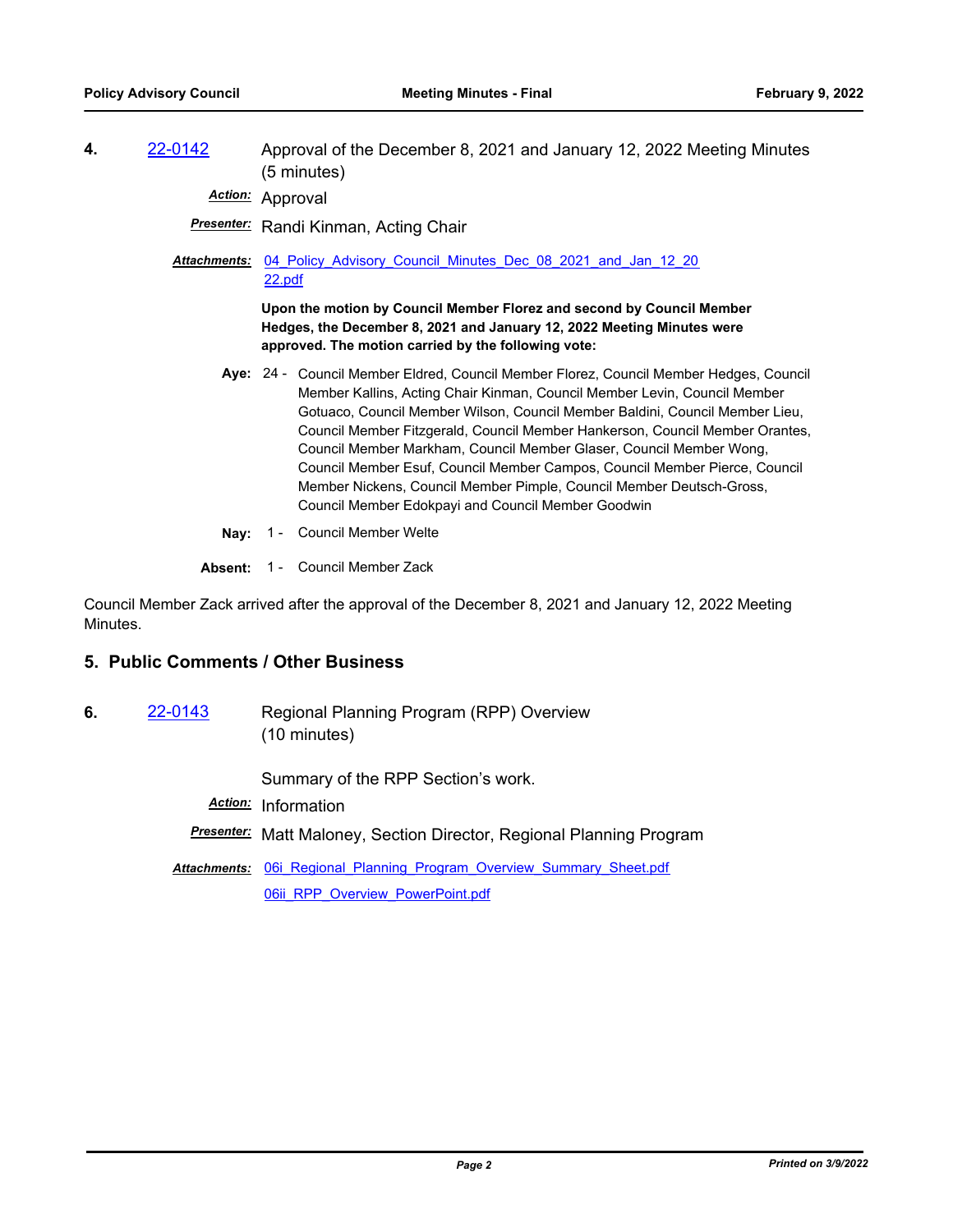**4.** [22-0142](http://mtc.legistar.com/gateway.aspx?m=l&id=/matter.aspx?key=23401) Approval of the December 8, 2021 and January 12, 2022 Meeting Minutes (5 minutes)

*Action:* Approval

*Presenter:* Randi Kinman, Acting Chair

Attachments: 04 Policy Advisory Council Minutes Dec 08 2021 and Jan 12 20 22.pdf

> **Upon the motion by Council Member Florez and second by Council Member Hedges, the December 8, 2021 and January 12, 2022 Meeting Minutes were approved. The motion carried by the following vote:**

- Aye: 24 Council Member Eldred, Council Member Florez, Council Member Hedges, Council Member Kallins, Acting Chair Kinman, Council Member Levin, Council Member Gotuaco, Council Member Wilson, Council Member Baldini, Council Member Lieu, Council Member Fitzgerald, Council Member Hankerson, Council Member Orantes, Council Member Markham, Council Member Glaser, Council Member Wong, Council Member Esuf, Council Member Campos, Council Member Pierce, Council Member Nickens, Council Member Pimple, Council Member Deutsch-Gross, Council Member Edokpayi and Council Member Goodwin
- **Nay:** 1 Council Member Welte

#### **Absent:** 1 - Council Member Zack

Council Member Zack arrived after the approval of the December 8, 2021 and January 12, 2022 Meeting Minutes.

#### **5. Public Comments / Other Business**

**6.** [22-0143](http://mtc.legistar.com/gateway.aspx?m=l&id=/matter.aspx?key=23402) Regional Planning Program (RPP) Overview (10 minutes)

Summary of the RPP Section's work.

*Action:* Information

*Presenter:* Matt Maloney, Section Director, Regional Planning Program

Attachments: 06i Regional Planning Program Overview Summary Sheet.pdf [06ii\\_RPP\\_Overview\\_PowerPoint.pdf](http://mtc.legistar.com/gateway.aspx?M=F&ID=bdd13ee5-f4da-400c-bdc1-d0f643764231.pdf)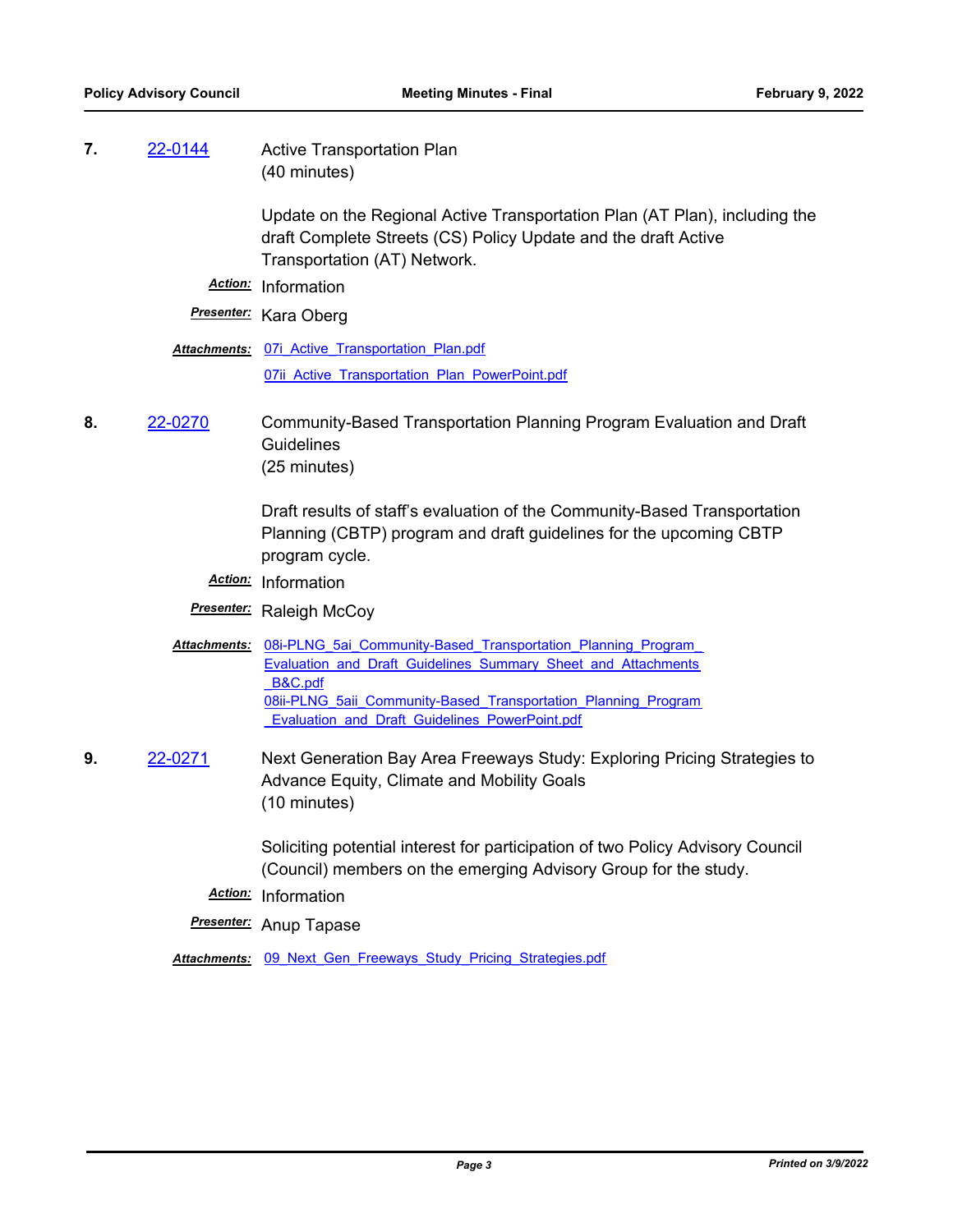# **7.** [22-0144](http://mtc.legistar.com/gateway.aspx?m=l&id=/matter.aspx?key=23403) Active Transportation Plan (40 minutes)

Update on the Regional Active Transportation Plan (AT Plan), including the draft Complete Streets (CS) Policy Update and the draft Active Transportation (AT) Network.

*Action:* Information

*Presenter:* Kara Oberg

**Attachments: 07i Active Transportation Plan.pdf** 07ii Active Transportation Plan PowerPoint.pdf

**8.** [22-0270](http://mtc.legistar.com/gateway.aspx?m=l&id=/matter.aspx?key=23529) Community-Based Transportation Planning Program Evaluation and Draft **Guidelines** (25 minutes)

> Draft results of staff's evaluation of the Community-Based Transportation Planning (CBTP) program and draft guidelines for the upcoming CBTP program cycle.

- *Action:* Information
- *Presenter:* Raleigh McCoy
- Attachments: 08i-PLNG 5ai Community-Based Transportation Planning Program Evaluation and Draft Guidelines Summary Sheet and Attachments \_B&C.pdf 08ii-PLNG 5aii Community-Based Transportation Planning Program Evaluation and Draft Guidelines PowerPoint.pdf
- **9.** [22-0271](http://mtc.legistar.com/gateway.aspx?m=l&id=/matter.aspx?key=23530) Next Generation Bay Area Freeways Study: Exploring Pricing Strategies to Advance Equity, Climate and Mobility Goals (10 minutes)

Soliciting potential interest for participation of two Policy Advisory Council (Council) members on the emerging Advisory Group for the study.

- *Action:* Information
- *Presenter:* Anup Tapase

*Attachments:* [09\\_Next\\_Gen\\_Freeways\\_Study\\_Pricing\\_Strategies.pdf](http://mtc.legistar.com/gateway.aspx?M=F&ID=37541da8-fdac-4c53-a46a-2c2d9363e481.pdf)